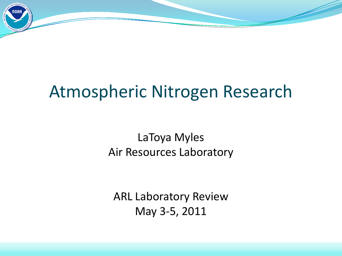# Atmospheric Nitrogen Research

LaToya Myles Air Resources Laboratory

ARL Laboratory Review May 3-5, 2011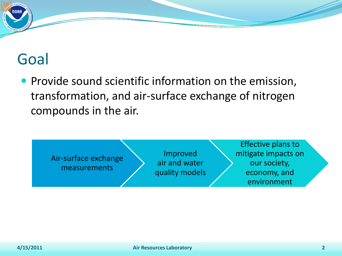# Goal

• Provide sound scientific information on the emission, transformation, and air-surface exchange of nitrogen compounds in the air.

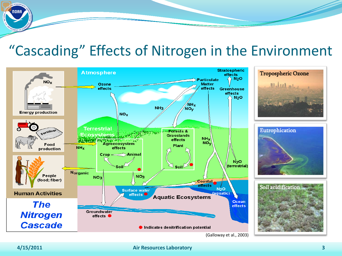#### "Cascading" Effects of Nitrogen in the Environment



#### **4/15/2011 Air Resources Laboratory 3**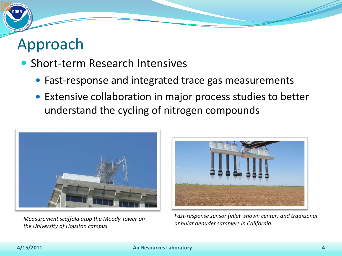# Approach

- Short-term Research Intensives
	- Fast-response and integrated trace gas measurements
	- Extensive collaboration in major process studies to better understand the cycling of nitrogen compounds



*annular denuder samplers in California. Measurement scaffold atop the Moody Tower on the University of Houston campus.*



*Fast-response sensor (inlet shown center) and traditional*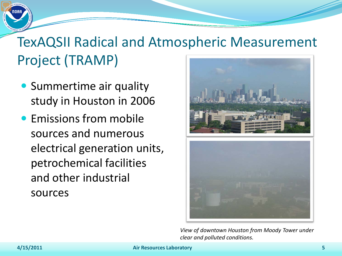# TexAQSII Radical and Atmospheric Measurement Project (TRAMP)

- **Summertime air quality** study in Houston in 2006
- **Emissions from mobile** sources and numerous electrical generation units, petrochemical facilities and other industrial sources



*View of downtown Houston from Moody Tower under clear and polluted conditions.*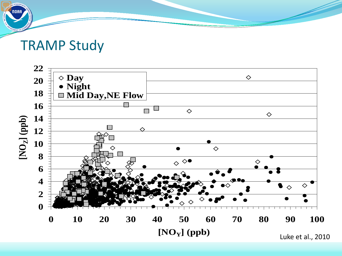#### TRAMP Study



Luke et al., 2010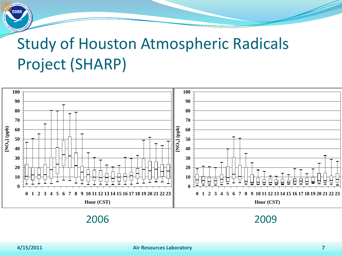# Study of Houston Atmospheric Radicals Project (SHARP)

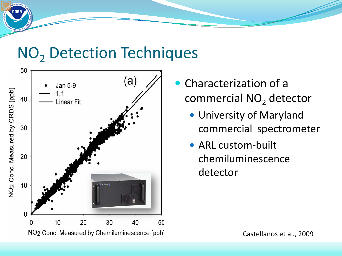# NO<sub>2</sub> Detection Techniques



- Characterization of a commercial NO<sub>2</sub> detector
	- University of Maryland commercial spectrometer
	- ARL custom-built chemiluminescence detector

Castellanos et al., 2009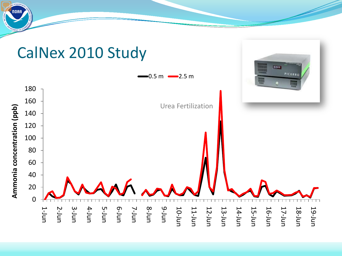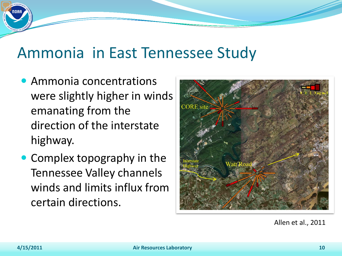# Ammonia in East Tennessee Study

- Ammonia concentrations were slightly higher in winds emanating from the direction of the interstate highway.
- Complex topography in the Tennessee Valley channels winds and limits influx from certain directions.



Allen et al. 2010 (in review) Allen et al., 2011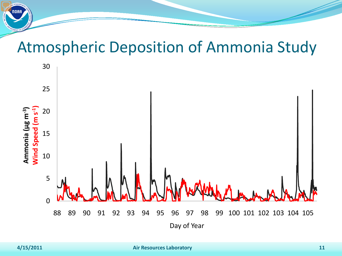## Atmospheric Deposition of Ammonia Study

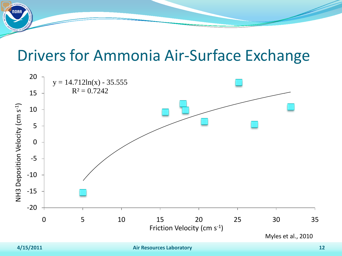## Drivers for Ammonia Air-Surface Exchange

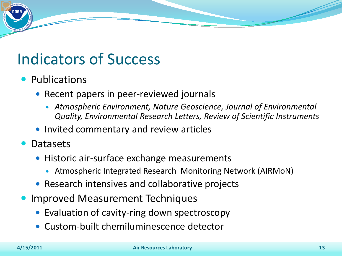# Indicators of Success

- Publications
	- Recent papers in peer-reviewed journals
		- *Atmospheric Environment, Nature Geoscience, Journal of Environmental Quality, Environmental Research Letters, Review of Scientific Instruments*
	- Invited commentary and review articles
- Datasets
	- Historic air-surface exchange measurements
		- Atmospheric Integrated Research Monitoring Network (AIRMoN)
	- Research intensives and collaborative projects
- Improved Measurement Techniques
	- Evaluation of cavity-ring down spectroscopy
	- Custom-built chemiluminescence detector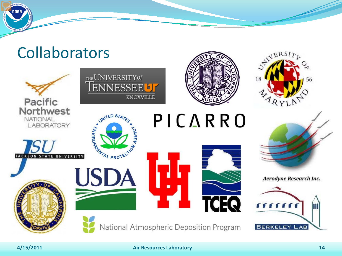# **Collaborators**